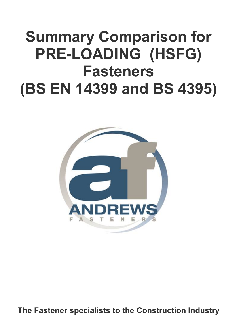# **Summary Comparison for PRE-LOADING (HSFG) Fasteners (BS EN 14399 and BS 4395)**



**The Fastener specialists to the Construction Industry**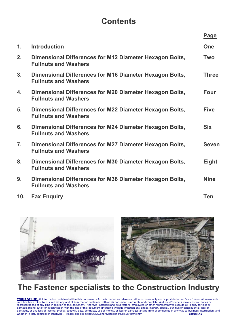## **Contents**

|                  |                                                                                        | <b>Page</b>  |
|------------------|----------------------------------------------------------------------------------------|--------------|
| $\mathbf 1$ .    | <b>Introduction</b>                                                                    | <b>One</b>   |
| 2.               | Dimensional Differences for M12 Diameter Hexagon Bolts,<br><b>Fullnuts and Washers</b> | <b>Two</b>   |
| 3.               | Dimensional Differences for M16 Diameter Hexagon Bolts,<br><b>Fullnuts and Washers</b> | <b>Three</b> |
| 4.               | Dimensional Differences for M20 Diameter Hexagon Bolts,<br><b>Fullnuts and Washers</b> | <b>Four</b>  |
| 5.               | Dimensional Differences for M22 Diameter Hexagon Bolts,<br><b>Fullnuts and Washers</b> | <b>Five</b>  |
| 6.               | Dimensional Differences for M24 Diameter Hexagon Bolts,<br><b>Fullnuts and Washers</b> | <b>Six</b>   |
| $\overline{7}$ . | Dimensional Differences for M27 Diameter Hexagon Bolts,<br><b>Fullnuts and Washers</b> | <b>Seven</b> |
| 8.               | Dimensional Differences for M30 Diameter Hexagon Bolts,<br><b>Fullnuts and Washers</b> | <b>Eight</b> |
| 9.               | Dimensional Differences for M36 Diameter Hexagon Bolts,<br><b>Fullnuts and Washers</b> | <b>Nine</b>  |
| 10 <sub>1</sub>  | <b>Fax Enquiry</b>                                                                     | <b>Ten</b>   |



## **The Fastener specialists to the Construction Industry**

**TERMS OF USE:** All information contained within this document is for information and demonstration purposes only and is provided on an "as is" basis. All reasonable care has been taken to ensure that any and all information contained within this document is accurate and complete. Andrews Fasteners makes no warranties or representations of any kind in relation to this document. Andrews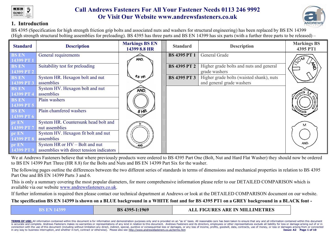



#### **1. Introduction**

BS 4395 (Specification for high strength friction grip bolts and associated nuts and washers for structural engineering) has been replaced by BS EN 14399 (High strength structural bolting assemblies for preloading). BS 4395 has three parts and BS EN 14399 has six parts (with a further three parts to be released) –

| <b>Standard</b>            | <b>Description</b>                                                          | <b>Markings BS EN</b><br>14399 8.8 HR | <b>Standard</b>     | <b>Description</b>                                                    | <b>Markings BS</b><br>4395 PT1 |
|----------------------------|-----------------------------------------------------------------------------|---------------------------------------|---------------------|-----------------------------------------------------------------------|--------------------------------|
| <b>BS EN</b><br>14399 PT 1 | General requirements                                                        | AND.                                  | <b>BS 4395 PT 1</b> | General Grade                                                         |                                |
| <b>BS EN</b><br>14399 PT 2 | Suitability test for preloading                                             |                                       | <b>BS 4395 PT 2</b> | Higher grade bolts and nuts and general<br>grade washers              | $\mathbf{z}_1$                 |
| <b>BS EN</b><br>14399 PT 3 | System HR. Hexagon bolt and nut<br>assemblies                               | $6.8$ HR                              | <b>BS 4395 PT 3</b> | Higher grade bolts (waisted shank), nuts<br>and general grade washers |                                |
| <b>BS EN</b><br>14399 PT 4 | System HV. Hexagon bolt and nut<br>assemblies                               | AND.                                  |                     |                                                                       |                                |
| <b>BS EN</b><br>14399 PT 5 | Plain washers                                                               |                                       |                     |                                                                       |                                |
| <b>BS EN</b><br>14399 PT 6 | Plain chamfered washers                                                     | 8H                                    |                     |                                                                       |                                |
| pr EN<br>14399 PT 7        | System HR. Countersunk head bolt and<br>nut assemblies                      |                                       |                     |                                                                       | м                              |
| pr EN<br>14399 PT 8        | System HV. Hexagon fit bolt and nut<br>assemblies                           |                                       |                     |                                                                       |                                |
| pr EN<br>14399 PT 9        | System HR or HV – Bolt and nut<br>assemblies with direct tension indicators | AND.                                  |                     |                                                                       | AND.                           |

We at Andrews Fasteners believe that where previously products were ordered to BS 4395 Part One (Bolt, Nut and Hard Flat Washer) they should now be ordered to BS EN 14399 Part Three (HR 8.8) for the Bolts and Nuts and BS EN 14399 Part Six for the washer.

The following pages outline the differences between the two different series of standards in terms of dimensions and mechanical properties in relation to BS 4395 Part One and BS EN 14399 Parts 3 and 6.

This is only a summary covering the most popular diameters, for more comprehensive information please refer to our DETAILED COMPARISON which is available via our website www.andrewsfasteners.co.uk.

If further information is required then please contact our technical department at Andrews or look at the DETAILED COMPARISON document on our website.

**The specification BS EN 14399 is shown on a BLUE background in a WHITE font and for BS 4395 PT1 on a GREY background in a BLACK font -**

| ALL FIGURES ARE IN MILLIMETRES<br>BS 4395-1:1969<br>BS EN 1439 |  |
|----------------------------------------------------------------|--|
|----------------------------------------------------------------|--|

TERMS OF USE: All information contained within this document is for information and demonstration purposes only and is provided on an "as is" basis. All reasonable care has been taken to ensure that any and all information is accurate and complete. Andrews Fasteners makes no warranties or representations of any kind in relation to this document. Andrews Fasteners and its directors, employees or other representatives exclude all liability for connection with the use of this document (including without limitation any direct, indirect, special, punitive or consequential loss or damages, or any loss of income, profits, goodwill, data, contracts, use of money, or l in any way to business interruption, and whether in tort, contract or otherwise). Please also see http://www.andrewsfasteners.co.uk/terms.htm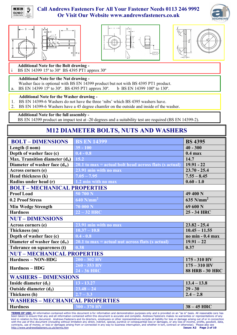









**Additional Note for the Bolt drawing -**

BS EN 14399 15° to 30° BS 4395 PT1 approx 30°

#### **Additional Note for the Nut drawing -**

- Washer face is optional with BS EN 14399 product but not with BS 4395 PT1 product.
- a. BS EN 14399 15 $\degree$  to 30 $\degree$ . BS 4395 PT1 approx 30 $\degree$ . b BS EN 14399 100 $\degree$  to 130 $\degree$ .

#### **Additional Note for the Washer drawing -**

- 1. BS EN 14399-6 Washers do not have the three 'nibs' which BS 4395 washers have.
- 2. BS EN 14399-6 Washers have a 45 degree chamfer on the outside and inside of the washer.

**Additional Note for the full assembly -**

BS EN 14399 product an impact test at -20 degrees and a suitability test are required (BS EN 14399-2).

### **M12 DIAMETER BOLTS, NUTS AND WASHERS**

| <b>BOLT - DIMENSIONS</b>               | <b>BS EN 14399</b>                                       | <b>BS 4395</b>          |
|----------------------------------------|----------------------------------------------------------|-------------------------|
| Length (I nom)                         | $35 - 100$                                               | $\overline{40} - 300$   |
| Depth of washer face (c)               | $0.4 - 0.8$                                              | $0.4$ max               |
| Max. Transition diameter $(d_a)$       | $15.2$                                                   | 14.7                    |
| Diameter of washer face $(d_w)$        | $20.1$ to max = actual bolt head across flats (s actual) | $19.91 - 22$            |
| Across corners (e)                     | 23.91 min with no max                                    | $23.70 - 25.4$          |
| Head thickness (k)                     | $7.05 - 7.95$                                            | $7.55 - 8.45$           |
| Radius under head (r)                  | $1.2 \text{ min}$ with no max                            | $0.60 - 1.0$            |
| <b>BOLT-MECHANICAL PROPERTIES</b>      |                                                          |                         |
| <b>Proof Load</b>                      | 50 700 N                                                 | 49 400 N                |
| 0.2 Proof Stress                       | $640$ N/mm <sup>2</sup>                                  | $635$ N/mm <sup>2</sup> |
| <b>Min Wedge Strength</b>              | 70000N                                                   | 69 600 N                |
| <b>Hardness</b>                        | $22 - 32$ HRC                                            | 25 - 34 HRC             |
| <b>NUT-DIMENSIONS</b>                  |                                                          |                         |
| Across corners (e)                     | 23.91 min with no max                                    | $23.82 - 25.4$          |
| Thickness (m)                          | $10.37 - 10.8$                                           | $10.45 - 11.55$         |
| Depth of washer face (c)               | $0.4 - 0.8$                                              | no min - 0.4 max        |
| Diameter of washer face $(d_w)$        | $20.1$ to max = actual nut across flats (s actual)       | $19.91 - 22$            |
| Tolerance on squareness (t)            | 0.38                                                     | 0.37                    |
| <b>NUT - MECHANICAL PROPERTIES</b>     |                                                          |                         |
| <b>Hardness - NON-HDG</b>              | $200 - 302$ HV                                           | 175 - 310 HV            |
| <b>Hardness - HDG</b>                  | $260 - 353$ HV                                           | $175 - 310$ HV          |
|                                        | 24 - 36 HRC                                              | <b>88 HRB - 30 HRC</b>  |
| <b>WASHERS - DIMENSIONS</b>            |                                                          |                         |
| Inside diameter $(d_1)$                | $13 - 13.27$                                             | $13.4 - 13.8$           |
| Outside diameter $(d_2)$               | $23.48 - 24$                                             | $29 - 30$               |
| Thickness (h)                          | $2.7 - 3.3$                                              | $2.4 - 2.8$             |
| <b>WASHERS - MECHANICAL PROPERTIES</b> |                                                          |                         |
| <b>Hardness</b>                        | $300 - 370$ HV                                           | $38 - 45$ HRC           |
|                                        |                                                          |                         |

**TERMS OF USE:** All information contained within this document is for information and demonstration purposes only and is provided on an "as is" basis. All reasonable care has been taken to ensure that any and all information contained within this document is accurate and complete. Andrews Fasteners makes no warranties or representations of any kind in relation to this document. Andrews Fasteners and its directors, employees or other representatives exclude all liability for loss or damage arising out of or in connection with the use of this document (including without limitation any direct, indirect, special, punitive or consequential loss or damages, or any loss of income, profits, goodwill, data,<br>contracts, use of money, or loss or dama http://www.andrewsfasteners.co.uk/terms.htm **Issue: A2 Page 2 of 10**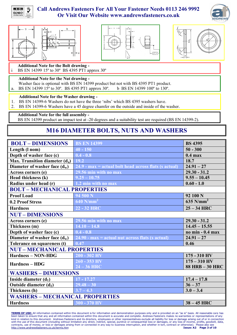









**Additional Note for the Bolt drawing -**

BS EN 14399 15 $\degree$  to 30 $\degree$  BS 4395 PT1 approx 30 $\degree$ 

#### **Additional Note for the Nut drawing -**

- Washer face is optional with BS EN 14399 product but not with BS 4395 PT1 product.
- a. BS EN 14399 15 $\degree$  to 30 $\degree$ . BS 4395 PT1 approx 30 $\degree$ . b BS EN 14399 100 $\degree$  to 130 $\degree$ .

#### **Additional Note for the Washer drawing -**

- 1. BS EN 14399-6 Washers do not have the three 'nibs' which BS 4395 washers have.
- 2. BS EN 14399-6 Washers have a 45 degree chamfer on the outside and inside of the washer.

**Additional Note for the full assembly -**

BS EN 14399 product an impact test at -20 degrees and a suitability test are required (BS EN 14399-2).

### **M16 DIAMETER BOLTS, NUTS AND WASHERS**

| <b>BOLT - DIMENSIONS</b>                   | <b>BS EN 14399</b>                                      | <b>BS 4395</b>          |  |
|--------------------------------------------|---------------------------------------------------------|-------------------------|--|
| Length (1 nom)                             | $40 - 150$                                              | $50 - 300$              |  |
| Depth of washer face (c)                   | $0.4 - 0.8$                                             | $0.4$ max               |  |
| Max. Transition diameter (d <sub>a</sub> ) | $19.2$                                                  | 18.7                    |  |
| Diameter of washer face $(d_w)$            | $24.9$ - max = actual bolt head across flats (s actual) | $24.91 - 27$            |  |
| Across corners (e)                         | 29.56 min with no max                                   | $29.30 - 31.2$          |  |
| Head thickness (k)                         | $9.25 - 10.75$                                          | $9.55 - 10.45$          |  |
| Radius under head (r)                      | 1.2 min with no max                                     | $0.60 - 1.0$            |  |
| <b>BOLT-MECHANICAL PROPERTIES</b>          |                                                         |                         |  |
| <b>Proof Load</b>                          | 94 500 N                                                | 92 100 N                |  |
| 0.2 Proof Stress                           | $640$ N/mm <sup>2</sup>                                 | $635$ N/mm <sup>2</sup> |  |
| <b>Hardness</b>                            | 22 - 32 HRC                                             | $25 - 34$ HRC           |  |
| <b>NUT-DIMENSIONS</b>                      |                                                         |                         |  |
| Across corners (e)                         | 29.56 min with no max                                   | $29.30 - 31.2$          |  |
| Thickness (m)                              | $14.10 - 14.8$                                          | $14.45 - 15.55$         |  |
| Depth of washer face (c)                   | $0.4 - 0.8$                                             | no min $-0.4$ max       |  |
| Diameter of washer face $(d_w)$            | $24.90 - max = actual nut across flats (s actual)$      | $24.91 - 27$            |  |
| Tolerance on squareness (t)                | 0.47                                                    | 0.46                    |  |
| <b>NUT-MECHANICAL PROPERTIES</b>           |                                                         |                         |  |
| <b>Hardness - NON-HDG</b>                  | $200 - 302$ HV                                          | 175 - 310 HV            |  |
| <b>Hardness – HDG</b>                      | 260 - 353 HV                                            | $175 - 310$ HV          |  |
|                                            | $24 - 36$ HRC                                           | <b>88 HRB - 30 HRC</b>  |  |
| <b>WASHERS - DIMENSIONS</b>                |                                                         |                         |  |
| Inside diameter $(d_1)$                    | $\overline{17}$ - 17.27                                 | $17.4 - 17.8$           |  |
| Outside diameter $(d_2)$                   | $29.48 - 30$                                            | $36 - 37$               |  |
| Thickness (h)                              | $3.7 - 4.3$                                             | $3.0 - 3.4$             |  |
| <b>WASHERS - MECHANICAL PROPERTIES</b>     |                                                         |                         |  |
| <b>Hardness</b>                            | 300 - 370 HV                                            | $38 - 45$ HRC           |  |

**TERMS OF USE:** All information contained within this document is for information and demonstration purposes only and is provided on an "as is" basis. All reasonable care has<br>been taken to ensure that any and all informati kind in relation to this document. Andrews Fasteners and its directors, employees or other representatives exclude all liability for loss or damage arising out of or in connection with the use of this document (including without limitation any direct, indirect, special, punitive or consequential loss or damages, or any loss of income, profits, goodwill, data,<br>contracts, use of money, or loss or dama http://www.andrewsfasteners.co.uk/terms.htm **Issue: A2 Page 3 of 10**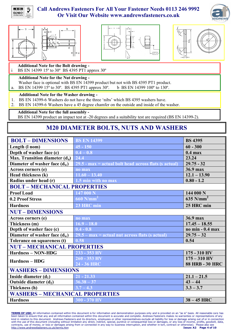









**Additional Note for the Bolt drawing -**

BS EN 14399 15° to 30° BS 4395 PT1 approx 30°

#### **Additional Note for the Nut drawing -**

- Washer face is optional with BS EN 14399 product but not with BS 4395 PT1 product.
- a. BS EN 14399 15 $\degree$  to 30 $\degree$ . BS 4395 PT1 approx 30 $\degree$ . b BS EN 14399 100 $\degree$  to 130 $\degree$ .

#### **Additional Note for the Washer drawing -**

- 1. BS EN 14399-6 Washers do not have the three 'nibs' which BS 4395 washers have.
- 2. BS EN 14399-6 Washers have a 45 degree chamfer on the outside and inside of the washer.

**Additional Note for the full assembly -**

BS EN 14399 product an impact test at -20 degrees and a suitability test are required (BS EN 14399-2).

### **M20 DIAMETER BOLTS, NUTS AND WASHERS**

| <b>BOLT - DIMENSIONS</b>               | <b>BS EN 14399</b>                                      | <b>BS 4395</b>          |
|----------------------------------------|---------------------------------------------------------|-------------------------|
| Length (I nom)                         | $45 - 150$                                              | $60 - 300$              |
| Depth of washer face (c)               | $0.4 - 0.8$                                             | $0.4$ max               |
| Max. Transition diameter $(d_a)$       | 24.4                                                    | 23.24                   |
| Diameter of washer face $(d_w)$        | $29.5$ - max = actual bolt head across flats (s actual) | $29.75 - 32$            |
| Across corners (e)                     | no max                                                  | 36.9 max                |
| Head thickness (k)                     | $11.60 - 13.40$                                         | $12.1 - 13.90$          |
| Radius under head (r)                  | 1.5 min with no max                                     | $0.80 - 1.2$            |
| <b>BOLT-MECHANICAL PROPERTIES</b>      |                                                         |                         |
| <b>Proof Load</b>                      | 147 000 N                                               | 144 000 N               |
| 0.2 Proof Stress                       | $\sqrt{660}$ N/mm <sup>2</sup>                          | $635$ N/mm <sup>2</sup> |
| <b>Hardness</b>                        | 23 HRC min                                              | 25 HRC min              |
| <b>NUT-DIMENSIONS</b>                  |                                                         |                         |
| Across corners (e)                     | no max                                                  | 36.9 max                |
| Thickness (m)                          | $16.9 - 18.0$                                           | $17.45 - 18.55$         |
| Depth of washer face (c)               | $\overline{0.4} - 0.8$                                  | no min $-0.4$ max       |
| Diameter of washer face $(d_w)$        | $29.5 - max = actual nut across flats$ (s actual)       | $29.75 - 32$            |
| Tolerance on squareness (t)            | 0.58                                                    | 0.54                    |
| <b>NUT-MECHANICAL PROPERTIES</b>       |                                                         |                         |
| <b>Hardness - NON-HDG</b>              | 233 - 353 HV                                            | $175 - 310$ HV          |
| <b>Hardness - HDG</b>                  | 260 - 353 HV                                            | $175 - 310$ HV          |
|                                        | 24 - 36 HRC                                             | <b>88 HRB - 30 HRC</b>  |
| <b>WASHERS - DIMENSIONS</b>            |                                                         |                         |
| Inside diameter $(d_1)$                | $21 - 21.33$                                            | $21.1 - 21.5$           |
| Outside diameter $(d_2)$               | $36.38 - 37$                                            | $43 - 44$               |
| Thickness (h)                          | $3.7 - 4.3$                                             | $3.3 - 3.7$             |
| <b>WASHERS - MECHANICAL PROPERTIES</b> |                                                         |                         |
| <b>Hardness</b>                        | $300 - 370$ HV                                          | $38 - 45$ HRC           |

**TERMS OF USE:** All information contained within this document is for information and demonstration purposes only and is provided on an "as is" basis. All reasonable care has<br>been taken to ensure that any and all informati kind in relation to this document. Andrews Fasteners and its directors, employees or other representatives exclude all liability for loss or damage arising out of or in connection with the use of this document (including without limitation any direct, indirect, special, punitive or consequential loss or damages, or any loss of income, profits, goodwill, data,<br>contracts, use of money, or loss or dama http://www.andrewsfasteners.co.uk/terms.htm **Issue: A2 Page 4 of 10**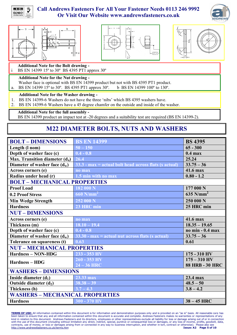









**Additional Note for the Bolt drawing -**

BS EN 14399 15° to 30° BS 4395 PT1 approx 30°

#### **Additional Note for the Nut drawing -**

- Washer face is optional with BS EN 14399 product but not with BS 4395 PT1 product.
- a. BS EN 14399 15 $\degree$  to 30 $\degree$ . BS 4395 PT1 approx 30 $\degree$ . b BS EN 14399 100 $\degree$  to 130 $\degree$ .

#### **Additional Note for the Washer drawing -**

- 1. BS EN 14399-6 Washers do not have the three 'nibs' which BS 4395 washers have.
- 2. BS EN 14399-6 Washers have a 45 degree chamfer on the outside and inside of the washer.

**Additional Note for the full assembly -**

BS EN 14399 product an impact test at -20 degrees and a suitability test are required (BS EN 14399-2).

### **M22 DIAMETER BOLTS, NUTS AND WASHERS**

| <b>BOLT-DIMENSIONS</b>                 | <b>BS EN 14399</b>                                          | <b>BS 4395</b>          |
|----------------------------------------|-------------------------------------------------------------|-------------------------|
| Length (I nom)                         | $50 - 150$                                                  | $65 - 300$              |
| Depth of washer face (c)               | $0.4 - 0.8$                                                 | $0.4$ max               |
| Max. Transition diameter $(d_a)$       | 26.4                                                        | 25.24                   |
| Diameter of washer face $(d_w)$        | $33.3$ - max = actual bolt head across flats (s actual)     | $33.75 - 36$            |
| Across corners (e)                     | no max                                                      | 41.6 max                |
| Radius under head (r)                  | 1.5 min with no max                                         | $0.80 - 1.2$            |
| <b>BOLT-MECHANICAL PROPERTIES</b>      |                                                             |                         |
| <b>Proof Load</b>                      | $\overline{182000}$ N                                       | 177 000 N               |
| 0.2 Proof Stress                       | $660$ N/mm <sup>2</sup>                                     | $635$ N/mm <sup>2</sup> |
| <b>Min Wedge Strength</b>              | 252 000 N                                                   | 250 000 N               |
| <b>Hardness</b>                        | 23 HRC min                                                  | 25 HRC min              |
| <b>NUT-DIMENSIONS</b>                  |                                                             |                         |
| Across corners (e)                     | no max                                                      | 41.6 max                |
| Thickness (m)                          | $18.10 - 19.4$                                              | $18.35 - 19.65$         |
| Depth of washer face (c)               | $0.4 - 0.8$                                                 | no min $-0.4$ max       |
| Diameter of washer face $(d_w)$        | $33.30 - max = actual nut across \, flats \, (s \, actual)$ | $33.75 - 36$            |
| Tolerance on squareness (t)            | 0.63                                                        | 0.61                    |
| <b>NUT-MECHANICAL PROPERTIES</b>       |                                                             |                         |
| <b>Hardness - NON-HDG</b>              | 233 - 353 HV                                                | $175 - 310$ HV          |
| <b>Hardness - HDG</b>                  | 260 - 353 HV                                                | $175 - 310$ HV          |
|                                        | $24 - 36$ HRC                                               | <b>88 HRB - 30 HRC</b>  |
| <b>WASHERS - DIMENSIONS</b>            |                                                             |                         |
| Inside diameter $(d_1)$                | 23.33 max                                                   | 23.4 max                |
| Outside diameter $(d_2)$               | $38.38 - 39$                                                | $48.5 - 50$             |
| Thickness (h)                          | $3.7 - 4.3$                                                 | $3.8 - 4.2$             |
| <b>WASHERS - MECHANICAL PROPERTIES</b> |                                                             |                         |
| <b>Hardness</b>                        | $300 - 370$ HV                                              | $38 - 45$ HRC           |

**TERMS OF USE:** All information contained within this document is for information and demonstration purposes only and is provided on an "as is" basis. All reasonable care has<br>been taken to ensure that any and all informati kind in relation to this document. Andrews Fasteners and its directors, employees or other representatives exclude all liability for loss or damage arising out of or in connection with the use of this document (including without limitation any direct, indirect, special, punitive or consequential loss or damages, or any loss of income, profits, goodwill, data,<br>contracts, use of money, or loss or dama http://www.andrewsfasteners.co.uk/terms.htm **Issue: A2 Page 5 of 10**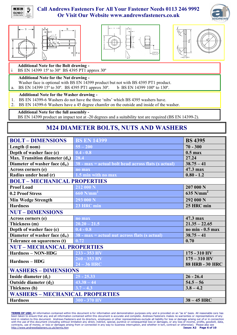









**Additional Note for the Bolt drawing -**

BS EN 14399 15° to 30° BS 4395 PT1 approx 30°

#### **Additional Note for the Nut drawing -**

- Washer face is optional with BS EN 14399 product but not with BS 4395 PT1 product.
- a. BS EN 14399 15 $\degree$  to 30 $\degree$ . BS 4395 PT1 approx 30 $\degree$ . b BS EN 14399 100 $\degree$  to 130 $\degree$ .

#### **Additional Note for the Washer drawing -**

- 1. BS EN 14399-6 Washers do not have the three 'nibs' which BS 4395 washers have.
- 2. BS EN 14399-6 Washers have a 45 degree chamfer on the outside and inside of the washer.

**Additional Note for the full assembly -**

BS EN 14399 product an impact test at -20 degrees and a suitability test are required (BS EN 14399-2).

### **M24 DIAMETER BOLTS, NUTS AND WASHERS**

| <b>BOLT-DIMENSIONS</b>            | <b>BS EN 14399</b>                                    | <b>BS 4395</b>          |  |
|-----------------------------------|-------------------------------------------------------|-------------------------|--|
| Length (I nom)                    | $55 - 200$                                            | $70 - 300$              |  |
| Depth of washer face (c)          | $0.4 - 0.8$                                           | $0.5$ max               |  |
| Max. Transition diameter $(d_a)$  | 28.4                                                  | 27.24                   |  |
| Diameter of washer face $(d_w)$   | $38 - max = actual bolt head across flats (s actual)$ | $38.75 - 41$            |  |
| Across corners (e)                | no max                                                | 47.3 max                |  |
| Radius under head (r)             | 1.5 min with no max                                   | $0.80 - 1.2$            |  |
| <b>BOLT-MECHANICAL PROPERTIES</b> |                                                       |                         |  |
| <b>Proof Load</b>                 | 212 000 N                                             | 207 000 N               |  |
| 0.2 Proof Stress                  | $660$ N/mm <sup>2</sup>                               | $635$ N/mm <sup>2</sup> |  |
| <b>Min Wedge Strength</b>         | 293 000 N                                             | 292 000 N               |  |
| <b>Hardness</b>                   | 23 HRC min                                            | 25 HRC min              |  |
| <b>NUT-DIMENSIONS</b>             |                                                       |                         |  |
| Across corners (e)                | no max                                                | 47.3 max                |  |
| Thickness (m)                     | $20.20 - 21.5$                                        | $21.35 - 22.65$         |  |
| Depth of washer face (c)          | $0.4 - 0.8$                                           | no min $-0.5$ max       |  |
| Diameter of washer face $(d_w)$   | $38 - max = actual$ nut across flats (s actual)       | $38.75 - 41$            |  |
| Tolerance on squareness (t)       | 0.72                                                  | 0.70                    |  |
| <b>NUT-MECHANICAL PROPERTIES</b>  |                                                       |                         |  |
| <b>Hardness - NON-HDG</b>         | 233 - 353 HV                                          | $175 - 310$ HV          |  |
| <b>Hardness - HDG</b>             | 260 - 353 HV                                          | $175 - 310$ HV          |  |
|                                   | $24 - 36$ HRC                                         | <b>88 HRB - 30 HRC</b>  |  |
| <b>WASHERS - DIMENSIONS</b>       |                                                       |                         |  |
| Inside diameter $(d_1)$           | $25 - 25.33$                                          | $26 - 26.4$             |  |
| Outside diameter $(d_2)$          | $43.38 - 44$                                          | $54.5 - 56$             |  |
| Thickness (h)                     | $3.7 - 4.3$                                           | $3.8 - 4.2$             |  |
|                                   | <b>WASHERS - MECHANICAL PROPERTIES</b>                |                         |  |
| <b>Hardness</b>                   | 300 - 370 HV                                          | $38 - 45$ HRC           |  |

**TERMS OF USE:** All information contained within this document is for information and demonstration purposes only and is provided on an "as is" basis. All reasonable care has<br>been taken to ensure that any and all informati kind in relation to this document. Andrews Fasteners and its directors, employees or other representatives exclude all liability for loss or damage arising out of or in connection with the use of this document (including without limitation any direct, indirect, special, punitive or consequential loss or damages, or any loss of income, profits, goodwill, data,<br>contracts, use of money, or loss or dama http://www.andrewsfasteners.co.uk/terms.htm **Issue: A2 Page 6 of 10**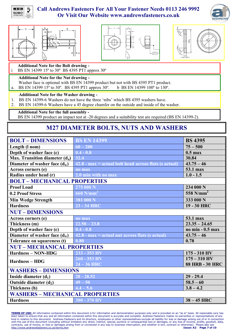









**Additional Note for the Bolt drawing -**

BS EN 14399 15° to 30° BS 4395 PT1 approx 30°

#### **Additional Note for the Nut drawing -**

- Washer face is optional with BS EN 14399 product but not with BS 4395 PT1 product.
- a. BS EN 14399 15 $\degree$  to 30 $\degree$ . BS 4395 PT1 approx 30 $\degree$ . b BS EN 14399 100 $\degree$  to 130 $\degree$ .

#### **Additional Note for the Washer drawing -**

- 1. BS EN 14399-6 Washers do not have the three 'nibs' which BS 4395 washers have.
- 2. BS EN 14399-6 Washers have a 45 degree chamfer on the outside and inside of the washer.

**Additional Note for the full assembly -**

BS EN 14399 product an impact test at -20 degrees and a suitability test are required (BS EN 14399-2).

### **M27 DIAMETER BOLTS, NUTS AND WASHERS**

| <b>BOLT-DIMENSIONS</b>            | <b>BS EN 14399</b>                                      | <b>BS 4395</b>         |  |
|-----------------------------------|---------------------------------------------------------|------------------------|--|
| Length (I nom)                    | $60 - 200$                                              | $75 - 500$             |  |
| Depth of washer face (c)          | $0.4 - 0.8$                                             | $0.5$ max              |  |
| Max. Transition diameter $(d_a)$  | 32.4                                                    | 30.84                  |  |
| Diameter of washer face $(d_w)$   | $42.8$ - max = actual bolt head across flats (s actual) | $43.75 - 46$           |  |
| Across corners (e)                | no max                                                  | 53.1 max               |  |
| Radius under head (r)             | 2.0 min with no max                                     | $1.0 - 1.5$            |  |
| <b>BOLT-MECHANICAL PROPERTIES</b> |                                                         |                        |  |
| <b>Proof Load</b>                 | 275000 N                                                | 234 000 N              |  |
| 0.2 Proof Stress                  | $660$ N/mm <sup>2</sup>                                 | 558 $N/mm2$            |  |
| <b>Min Wedge Strength</b>         | 381 000 N                                               | 333 000 N              |  |
| <b>Hardness</b>                   | 23 - 34 HRC                                             | 19 - 30 HRC            |  |
| <b>NUT-DIMENSIONS</b>             |                                                         |                        |  |
| Across corners (e)                | no max                                                  | 53.1 max               |  |
| Thickness (m)                     | $22.50 - 23.8$                                          | $23.35 - 24.65$        |  |
| Depth of washer face (c)          | $0.4 - 0.8$                                             | no min $-0.5$ max      |  |
| Diameter of washer face $(d_w)$   | $42.8$ - max = actual nut across flats (s actual)       | $43.75 - 46$           |  |
| Tolerance on squareness (t)       | $\bf0.80$                                               | 0.78                   |  |
| <b>NUT-MECHANICAL PROPERTIES</b>  |                                                         |                        |  |
| <b>Hardness - NON-HDG</b>         | 233 - 353 HV                                            | $175 - 310$ HV         |  |
| <b>Hardness – HDG</b>             | 260 - 353 HV                                            | $175 - 310$ HV         |  |
|                                   | $24 - 36$ HRC                                           | <b>88 HRB - 30 HRC</b> |  |
| <b>WASHERS - DIMENSIONS</b>       |                                                         |                        |  |
| Inside diameter $(d_1)$           | $28 - 28.52$                                            | $29 - 29.4$            |  |
| Outside diameter $(d_2)$          | $49 - 50$                                               | $58.5 - 60$            |  |
| Thickness (h)                     | $4.4 - 5.6$                                             | $3.8 - 4.2$            |  |
|                                   | <b>WASHERS - MECHANICAL PROPERTIES</b>                  |                        |  |
| <b>Hardness</b>                   | $300 - 370$ HV                                          | $38 - 45$ HRC          |  |

**TERMS OF USE:** All information contained within this document is for information and demonstration purposes only and is provided on an "as is" basis. All reasonable care has<br>been taken to ensure that any and all informati kind in relation to this document. Andrews Fasteners and its directors, employees or other representatives exclude all liability for loss or damage arising out of or in connection with the use of this document (including without limitation any direct, indirect, special, punitive or consequential loss or damages, or any loss of income, profits, goodwill, data,<br>contracts, use of money, or loss or dama http://www.andrewsfasteners.co.uk/terms.htm **Issue: A2 Page 7 of 10**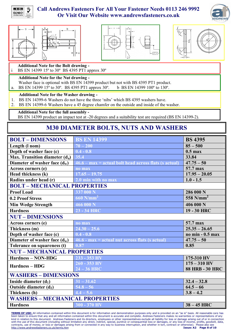









**Additional Note for the Bolt drawing -**

BS EN 14399 15° to 30° BS 4395 PT1 approx 30°

#### **Additional Note for the Nut drawing -**

- Washer face is optional with BS EN 14399 product but not with BS 4395 PT1 product.
- a. BS EN 14399 15 $\degree$  to 30 $\degree$ . BS 4395 PT1 approx 30 $\degree$ . b BS EN 14399 100 $\degree$  to 130 $\degree$ .

#### **Additional Note for the Washer drawing -**

- 1. BS EN 14399-6 Washers do not have the three 'nibs' which BS 4395 washers have.
- 2. BS EN 14399-6 Washers have a 45 degree chamfer on the outside and inside of the washer.

**Additional Note for the full assembly -**

BS EN 14399 product an impact test at -20 degrees and a suitability test are required (BS EN 14399-2).

### **M30 DIAMETER BOLTS, NUTS AND WASHERS**

| <b>BOLT-DIMENSIONS</b>            | <b>BS EN 14399</b>                                      | <b>BS 4395</b>         |  |
|-----------------------------------|---------------------------------------------------------|------------------------|--|
| Length (I nom)                    | $70 - 200$                                              | $85 - 500$             |  |
| Depth of washer face (c)          | $0.4 - 0.8$                                             | $0.5$ max              |  |
| Max. Transition diameter $(d_a)$  | 35.4                                                    | 33.84                  |  |
| Diameter of washer face $(d_w)$   | $46.6 - max = actual bolt head across flats (s actual)$ | $47.75 - 50$           |  |
| Across corners (e)                | no max                                                  | 57.7 max               |  |
| Head thickness (k)                | $17.65 - 19.75$                                         | $17.95 - 20.05$        |  |
| Radius under head (r)             | 2.0 min with no max                                     | $1.0 - 1.5$            |  |
| <b>BOLT-MECHANICAL PROPERTIES</b> |                                                         |                        |  |
| <b>Proof Load</b>                 | 337 000 N                                               | 286 000 N              |  |
| 0.2 Proof Stress                  | $660$ N/mm <sup>2</sup>                                 | 558 $N/mm2$            |  |
| <b>Min Wedge Strength</b>         | 466 000 N                                               | 406 000 N              |  |
| <b>Hardness</b>                   | 23 - 34 HRC                                             | 19 - 30 HRC            |  |
| <b>NUT-DIMENSIONS</b>             |                                                         |                        |  |
| Across corners (e)                | no max                                                  | 57.7 max               |  |
| Thickness (m)                     | $24.30 - 25.6$                                          | $25.35 - 26.65$        |  |
| Depth of washer face (c)          | $0.4 - 0.8$                                             | no min - 0.5 max       |  |
| Diameter of washer face $(d_w)$   | $46.6$ - $max$ = actual nut across flats (s actual)     | $47.75 - 50$           |  |
| Tolerance on squareness (t)       | 0.87                                                    | 0.85                   |  |
| <b>NUT-MECHANICAL PROPERTIES</b>  |                                                         |                        |  |
| <b>Hardness - NON-HDG</b>         | 233 - 353 HV                                            | 175-310 HV             |  |
| <b>Hardness – HDG</b>             | $260 - 353$ HV                                          | $175 - 310$ HV         |  |
|                                   | $24 - 36$ HRC                                           | <b>88 HRB - 30 HRC</b> |  |
| <b>WASHERS - DIMENSIONS</b>       |                                                         |                        |  |
| Inside diameter $(d_1)$           | $31 - 31.62$                                            | $32.4 - 32.8$          |  |
| Outside diameter $(d_2)$          | $54.8 - 56$                                             | $64.5 - 66$            |  |
| Thickness (h)                     | $4.4 - 5.6$                                             | $3.8 - 4.2$            |  |
|                                   | <b>WASHERS - MECHANICAL PROPERTIES</b>                  |                        |  |
| <b>Hardness</b>                   | $300 - 370$ HV                                          | $38 - 45$ HRC          |  |

**TERMS OF USE:** All information contained within this document is for information and demonstration purposes only and is provided on an "as is" basis. All reasonable care has<br>been taken to ensure that any and all informati kind in relation to this document. Andrews Fasteners and its directors, employees or other representatives exclude all liability for loss or damage arising out of or in connection with the use of this document (including without limitation any direct, indirect, special, punitive or consequential loss or damages, or any loss of income, profits, goodwill, data,<br>contracts, use of money, or loss or dama http://www.andrewsfasteners.co.uk/terms.htm **Issue: A2 Page 8 of 10**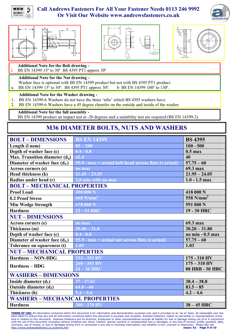









**Additional Note for the Bolt drawing -**

BS EN 14399 15° to 30° BS 4395 PT1 approx 30°

#### **Additional Note for the Nut drawing -**

- Washer face is optional with BS EN 14399 product but not with BS 4395 PT1 product.
- a. BS EN 14399 15 $\degree$  to 30 $\degree$ . BS 4395 PT1 approx 30 $\degree$ . b BS EN 14399 100 $\degree$  to 130 $\degree$ .

#### **Additional Note for the Washer drawing -**

- 1. BS EN 14399-6 Washers do not have the three 'nibs' which BS 4395 washers have.
- 2. BS EN 14399-6 Washers have a 45 degree chamfer on the outside and inside of the washer.

**Additional Note for the full assembly -**

BS EN 14399 product an impact test at -20 degrees and a suitability test are required (BS EN 14399-2).

### **M36 DIAMETER BOLTS, NUTS AND WASHERS**

| <b>BOLT-DIMENSIONS</b>            | <b>BS EN 14399</b>                                      | <b>BS 4395</b>         |  |  |
|-----------------------------------|---------------------------------------------------------|------------------------|--|--|
| Length (I nom)                    | $85 - 200$                                              | $100 - 500$            |  |  |
| Depth of washer face (c)          | $0.4 - 0.8$                                             | $0.5$ max              |  |  |
| Max. Transition diameter $(d_a)$  | 42.4                                                    | 40                     |  |  |
| Diameter of washer face $(d_w)$   | $55.9$ - max = actual bolt head across flats (s actual) | $57.75 - 60$           |  |  |
| Across corners (e)                | no max                                                  | 69.3 max               |  |  |
| Head thickness (k)                | $21.45 - 23.55$                                         | $21.95 - 24.05$        |  |  |
| Radius under head (r)             | 2.0 min with no max                                     | $1.0 - 1.5$ max        |  |  |
| <b>BOLT-MECHANICAL PROPERTIES</b> |                                                         |                        |  |  |
| <b>Proof Load</b>                 | 490 000 N                                               | 418 000 N              |  |  |
| 0.2 Proof Stress                  | $660$ N/mm <sup>2</sup>                                 | 558 $N/mm2$            |  |  |
| <b>Min Wedge Strength</b>         | 678 000 N                                               | 591 000 N              |  |  |
| <b>Hardness</b>                   | 23 - 34 HRC                                             | 19 - 30 HRC            |  |  |
| <b>NUT-DIMENSIONS</b>             |                                                         |                        |  |  |
| Across corners (e)                | no max                                                  | 69.3 max               |  |  |
| Thickness (m)                     | $29.40 - 31.0$                                          | $30.20 - 31.80$        |  |  |
| Depth of washer face (c)          | $0.4 - 0.8$                                             | no min - 0.5 max       |  |  |
| Diameter of washer face $(d_w)$   | $55.9$ - max = actual nut across flats (s actual)       | $57.75 - 60$           |  |  |
| Tolerance on squareness (t)       | 1.05                                                    | 1.03                   |  |  |
| <b>NUT-MECHANICAL PROPERTIES</b>  |                                                         |                        |  |  |
| <b>Hardness - NON-HDG</b>         | 233 - 353 HV                                            | $175 - 310$ HV         |  |  |
| <b>Hardness – HDG</b>             | 260 - 353 HV                                            | $175 - 310$ HV         |  |  |
|                                   | $24 - 36$ HRC                                           | <b>88 HRB - 30 HRC</b> |  |  |
| <b>WASHERS - DIMENSIONS</b>       |                                                         |                        |  |  |
| Inside diameter $(d_1)$           | $37 - 37.62$                                            | $38.4 - 38.8$          |  |  |
| Outside diameter $(d_2)$          | $64.8 - 66$                                             | $83.5 - 85$            |  |  |
| Thickness (h)                     | $5.4 - 6.6$                                             | $4.2 - 4.6$            |  |  |
|                                   | <b>WASHERS - MECHANICAL PROPERTIES</b>                  |                        |  |  |
| <b>Hardness</b>                   | $300 - 370$ HV                                          | $38 - 45$ HRC          |  |  |

**TERMS OF USE:** All information contained within this document is for information and demonstration purposes only and is provided on an "as is" basis. All reasonable care has<br>been taken to ensure that any and all informati kind in relation to this document. Andrews Fasteners and its directors, employees or other representatives exclude all liability for loss or damage arising out of or in connection with the use of this document (including without limitation any direct, indirect, special, punitive or consequential loss or damages, or any loss of income, profits, goodwill, data,<br>contracts, use of money, or loss or dama http://www.andrewsfasteners.co.uk/terms.htm **Issue: A2 Page 9 of 10**